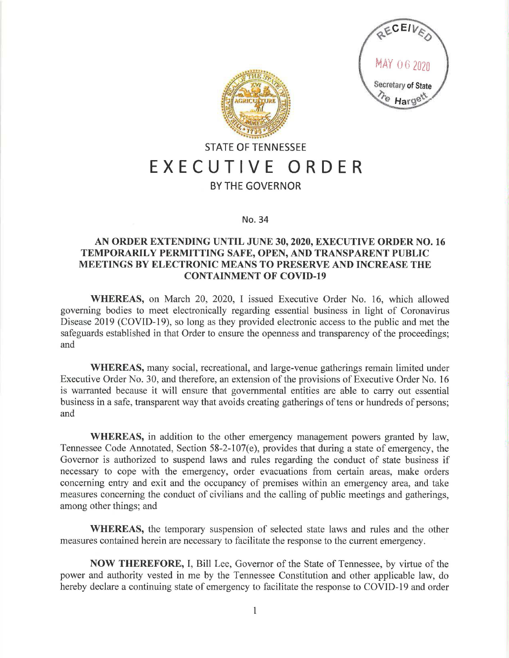



## **STATE OF TENNESSEE EXECUTIVE ORDER**

## **BY THE GOVERNOR**

**No. 34** 

## **AN ORDER EXTENDING UNTIL JUNE 30, 2020, EXECUTIVE ORDER NO. 16 TEMPORARILY PERMITTING SAFE, OPEN, AND TRANSPARENT PUBLIC MEETINGS BY ELECTRONIC MEANS TO PRESERVE AND INCREASE THE CONTAINMENT OF COVID-19**

**WHEREAS,** on March 20, 2020, I issued Executive Order No. 16, which allowed governing bodies to meet electronically regarding essential business in light of Coronavirus Disease 2019 (COVID-19), so long as they provided electronic access to the public and met the safeguards established in that Order to ensure the openness and transparency of the proceedings; and

**WHEREAS,** many social, recreational, and large-venue gatherings remain limited under Executive Order No. 30, and therefore, an extension of the provisions of Executive Order No. 16 is warranted because it will ensure that governmental entities are able to carry out essential business in a safe, transparent way that avoids creating gatherings of tens or hundreds of persons; and

**WHEREAS,** in addition to the other emergency management powers granted by law, Tennessee Code Annotated, Section 58-2-107(e), provides that during a state of emergency, the Governor is authorized to suspend laws and rules regarding the conduct of state business if necessary to cope with the emergency, order evacuations from certain areas, make orders concerning entry and exit and the occupancy of premises within an emergency area, and take measures concerning the conduct of civilians and the calling of public meetings and gatherings, among other things; and

**WHEREAS,** the temporary suspension of selected state laws and rules and the other measures contained herein are necessary to facilitate the response to the current emergency.

**NOW THEREFORE,** I, Bill Lee, Governor of the State of Tennessee, by virtue of the power and authority vested in me by the Tennessee Constitution and other applicable law, do hereby declare a continuing state of emergency to facilitate the response to COVID-19 and order